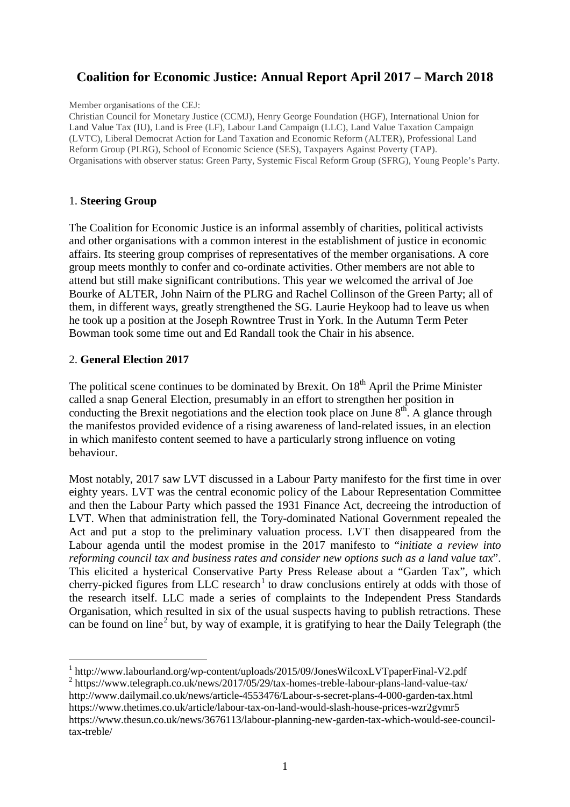# **Coalition for Economic Justice: Annual Report April 2017 – March 2018**

#### Member organisations of the CEJ:

Christian Council for Monetary Justice (CCMJ), Henry George Foundation (HGF), International Union for Land Value Tax (IU), Land is Free (LF), Labour Land Campaign (LLC), Land Value Taxation Campaign (LVTC), Liberal Democrat Action for Land Taxation and Economic Reform (ALTER), Professional Land Reform Group (PLRG), School of Economic Science (SES), Taxpayers Against Poverty (TAP). Organisations with observer status: Green Party, Systemic Fiscal Reform Group (SFRG), Young People's Party.

#### 1. **Steering Group**

The Coalition for Economic Justice is an informal assembly of charities, political activists and other organisations with a common interest in the establishment of justice in economic affairs. Its steering group comprises of representatives of the member organisations. A core group meets monthly to confer and co-ordinate activities. Other members are not able to attend but still make significant contributions. This year we welcomed the arrival of Joe Bourke of ALTER, John Nairn of the PLRG and Rachel Collinson of the Green Party; all of them, in different ways, greatly strengthened the SG. Laurie Heykoop had to leave us when he took up a position at the Joseph Rowntree Trust in York. In the Autumn Term Peter Bowman took some time out and Ed Randall took the Chair in his absence.

#### 2. **General Election 2017**

The political scene continues to be dominated by Brexit. On  $18<sup>th</sup>$  April the Prime Minister called a snap General Election, presumably in an effort to strengthen her position in conducting the Brexit negotiations and the election took place on June  $8<sup>th</sup>$ . A glance through the manifestos provided evidence of a rising awareness of land-related issues, in an election in which manifesto content seemed to have a particularly strong influence on voting behaviour.

Most notably, 2017 saw LVT discussed in a Labour Party manifesto for the first time in over eighty years. LVT was the central economic policy of the Labour Representation Committee and then the Labour Party which passed the 1931 Finance Act, decreeing the introduction of LVT. When that administration fell, the Tory-dominated National Government repealed the Act and put a stop to the preliminary valuation process. LVT then disappeared from the Labour agenda until the modest promise in the 2017 manifesto to "*initiate a review into reforming council tax and business rates and consider new options such as a land value tax*". This elicited a hysterical Conservative Party Press Release about a "Garden Tax", which cherry-picked figures from LLC research<sup>[1](#page-0-0)</sup> to draw conclusions entirely at odds with those of the research itself. LLC made a series of complaints to the Independent Press Standards Organisation, which resulted in six of the usual suspects having to publish retractions. These can be found on line<sup>[2](#page-0-1)</sup> but, by way of example, it is gratifying to hear the Daily Telegraph (the

<span id="page-0-0"></span> <sup>1</sup> http://www.labourland.org/wp-content/uploads/2015/09/JonesWilcoxLVTpaperFinal-V2.pdf

<span id="page-0-1"></span><sup>&</sup>lt;sup>2</sup> <https://www.telegraph.co.uk/news/2017/05/29/tax-homes-treble-labour-plans-land-value-tax/> <http://www.dailymail.co.uk/news/article-4553476/Labour-s-secret-plans-4-000-garden-tax.html> <https://www.thetimes.co.uk/article/labour-tax-on-land-would-slash-house-prices-wzr2gvmr5> [https://www.thesun.co.uk/news/3676113/labour-planning-new-garden-tax-which-would-see-council](https://www.thesun.co.uk/news/3676113/labour-planning-new-garden-tax-which-would-see-council-tax-treble/)[tax-treble/](https://www.thesun.co.uk/news/3676113/labour-planning-new-garden-tax-which-would-see-council-tax-treble/)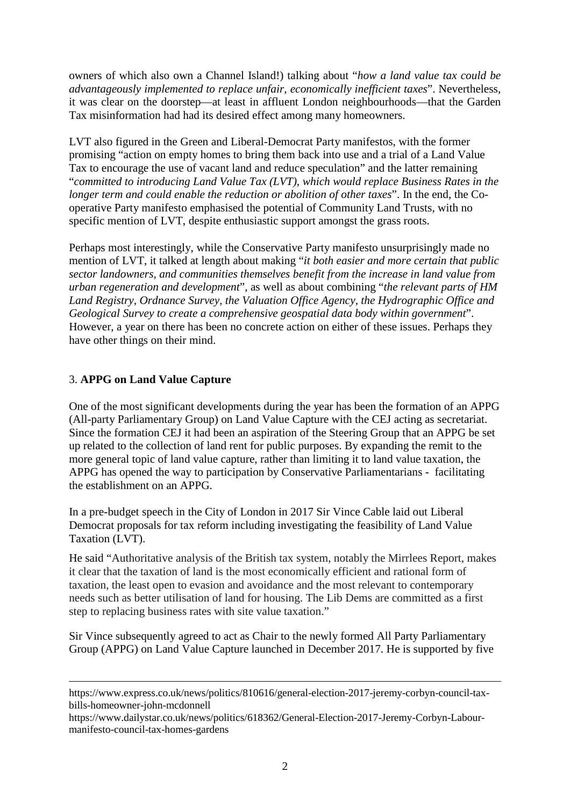owners of which also own a Channel Island!) talking about "*how a land value tax could be advantageously implemented to replace unfair, economically inefficient taxes*". Nevertheless, it was clear on the doorstep—at least in affluent London neighbourhoods—that the Garden Tax misinformation had had its desired effect among many homeowners.

LVT also figured in the Green and Liberal-Democrat Party manifestos, with the former promising "action on empty homes to bring them back into use and a trial of a Land Value Tax to encourage the use of vacant land and reduce speculation" and the latter remaining "*committed to introducing Land Value Tax (LVT), which would replace Business Rates in the longer term and could enable the reduction or abolition of other taxes*". In the end, the Cooperative Party manifesto emphasised the potential of Community Land Trusts, with no specific mention of LVT, despite enthusiastic support amongst the grass roots.

Perhaps most interestingly, while the Conservative Party manifesto unsurprisingly made no mention of LVT, it talked at length about making "*it both easier and more certain that public sector landowners, and communities themselves benefit from the increase in land value from urban regeneration and development*", as well as about combining "*the relevant parts of HM Land Registry, Ordnance Survey, the Valuation Office Agency, the Hydrographic Office and Geological Survey to create a comprehensive geospatial data body within government*". However, a year on there has been no concrete action on either of these issues. Perhaps they have other things on their mind.

# 3. **APPG on Land Value Capture**

 $\overline{a}$ 

One of the most significant developments during the year has been the formation of an APPG (All-party Parliamentary Group) on Land Value Capture with the CEJ acting as secretariat. Since the formation CEJ it had been an aspiration of the Steering Group that an APPG be set up related to the collection of land rent for public purposes. By expanding the remit to the more general topic of land value capture, rather than limiting it to land value taxation, the APPG has opened the way to participation by Conservative Parliamentarians - facilitating the establishment on an APPG.

In a pre-budget speech in the City of London in 2017 Sir Vince Cable laid out Liberal Democrat proposals for tax reform including investigating the feasibility of Land Value Taxation (LVT).

He said "Authoritative analysis of the British tax system, notably the Mirrlees Report, makes it clear that the taxation of land is the most economically efficient and rational form of taxation, the least open to evasion and avoidance and the most relevant to contemporary needs such as better utilisation of land for housing. The Lib Dems are committed as a first step to replacing business rates with site value taxation."

Sir Vince subsequently agreed to act as Chair to the newly formed All Party Parliamentary Group (APPG) on Land Value Capture launched in December 2017. He is supported by five

[https://www.express.co.uk/news/politics/810616/general-election-2017-jeremy-corbyn-council-tax](https://www.express.co.uk/news/politics/810616/general-election-2017-jeremy-corbyn-council-tax-bills-homeowner-john-mcdonnell)[bills-homeowner-john-mcdonnell](https://www.express.co.uk/news/politics/810616/general-election-2017-jeremy-corbyn-council-tax-bills-homeowner-john-mcdonnell)

[https://www.dailystar.co.uk/news/politics/618362/General-Election-2017-Jeremy-Corbyn-Labour](https://www.dailystar.co.uk/news/politics/618362/General-Election-2017-Jeremy-Corbyn-Labour-manifesto-council-tax-homes-gardens)[manifesto-council-tax-homes-gardens](https://www.dailystar.co.uk/news/politics/618362/General-Election-2017-Jeremy-Corbyn-Labour-manifesto-council-tax-homes-gardens)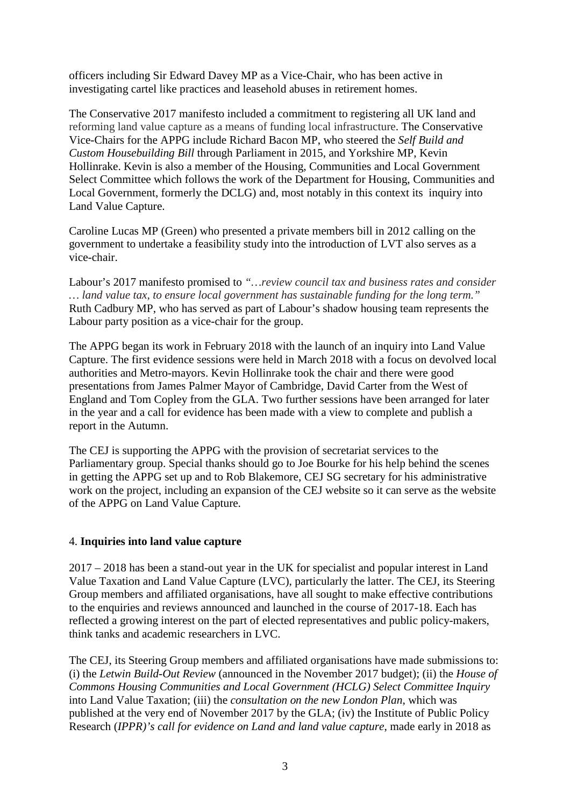officers including Sir Edward Davey MP as a Vice-Chair, who has been active in investigating cartel like practices and leasehold abuses in retirement homes.

The Conservative 2017 manifesto included a commitment to registering all UK land and reforming land value capture as a means of funding local infrastructure. The Conservative Vice-Chairs for the APPG include Richard Bacon MP, who steered the *Self Build and Custom Housebuilding Bill* through Parliament in 2015, and Yorkshire MP, Kevin Hollinrake. Kevin is also a member of the Housing, Communities and Local Government Select Committee which follows the work of the Department for Housing, Communities and Local Government, formerly the DCLG) and, most notably in this context its inquiry into Land Value Capture.

Caroline Lucas MP (Green) who presented a private members bill in 2012 calling on the government to undertake a feasibility study into the introduction of LVT also serves as a vice-chair.

Labour's 2017 manifesto promised to *"…review council tax and business rates and consider … land value tax, to ensure local government has sustainable funding for the long term."*  Ruth Cadbury MP, who has served as part of Labour's shadow housing team represents the Labour party position as a vice-chair for the group.

The APPG began its work in February 2018 with the launch of an inquiry into Land Value Capture. The first evidence sessions were held in March 2018 with a focus on devolved local authorities and Metro-mayors. Kevin Hollinrake took the chair and there were good presentations from James Palmer Mayor of Cambridge, David Carter from the West of England and Tom Copley from the GLA. Two further sessions have been arranged for later in the year and a call for evidence has been made with a view to complete and publish a report in the Autumn.

The CEJ is supporting the APPG with the provision of secretariat services to the Parliamentary group. Special thanks should go to Joe Bourke for his help behind the scenes in getting the APPG set up and to Rob Blakemore, CEJ SG secretary for his administrative work on the project, including an expansion of the CEJ website so it can serve as the website of the APPG on Land Value Capture.

# 4. **Inquiries into land value capture**

2017 – 2018 has been a stand-out year in the UK for specialist and popular interest in Land Value Taxation and Land Value Capture (LVC), particularly the latter. The CEJ, its Steering Group members and affiliated organisations, have all sought to make effective contributions to the enquiries and reviews announced and launched in the course of 2017-18. Each has reflected a growing interest on the part of elected representatives and public policy-makers, think tanks and academic researchers in LVC.

The CEJ, its Steering Group members and affiliated organisations have made submissions to: (i) the *Letwin Build-Out Review* (announced in the November 2017 budget); (ii) the *House of Commons Housing Communities and Local Government (HCLG) Select Committee Inquiry* into Land Value Taxation; (iii) the *consultation on the new London Plan*, which was published at the very end of November 2017 by the GLA; (iv) the Institute of Public Policy Research (*IPPR)'s call for evidence on Land and land value capture*, made early in 2018 as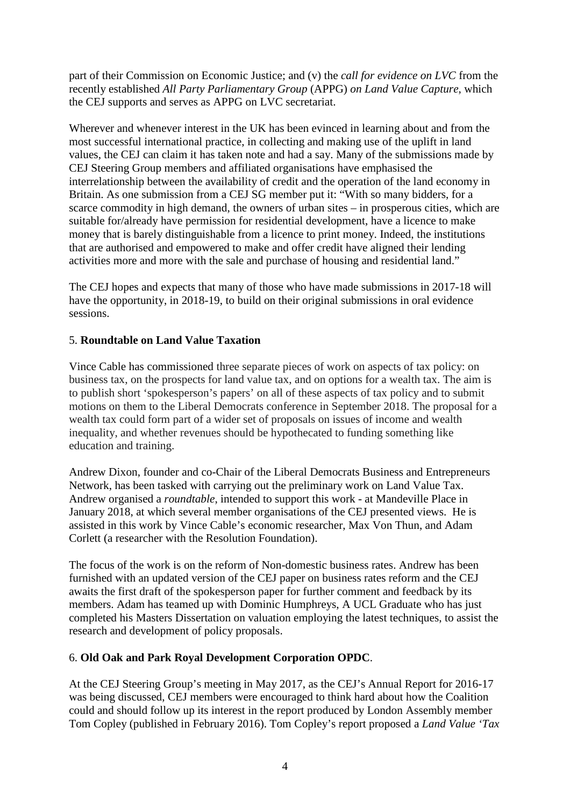part of their Commission on Economic Justice; and (v) the *call for evidence on LVC* from the recently established *All Party Parliamentary Group* (APPG) *on Land Value Capture*, which the CEJ supports and serves as APPG on LVC secretariat.

Wherever and whenever interest in the UK has been evinced in learning about and from the most successful international practice, in collecting and making use of the uplift in land values, the CEJ can claim it has taken note and had a say. Many of the submissions made by CEJ Steering Group members and affiliated organisations have emphasised the interrelationship between the availability of credit and the operation of the land economy in Britain. As one submission from a CEJ SG member put it: "With so many bidders, for a scarce commodity in high demand, the owners of urban sites – in prosperous cities, which are suitable for/already have permission for residential development, have a licence to make money that is barely distinguishable from a licence to print money. Indeed, the institutions that are authorised and empowered to make and offer credit have aligned their lending activities more and more with the sale and purchase of housing and residential land."

The CEJ hopes and expects that many of those who have made submissions in 2017-18 will have the opportunity, in 2018-19, to build on their original submissions in oral evidence sessions.

# 5. **Roundtable on Land Value Taxation**

Vince Cable has commissioned three separate pieces of work on aspects of tax policy: on business tax, on the prospects for land value tax, and on options for a wealth tax. The aim is to publish short 'spokesperson's papers' on all of these aspects of tax policy and to submit motions on them to the Liberal Democrats conference in September 2018. The proposal for a wealth tax could form part of a wider set of proposals on issues of income and wealth inequality, and whether revenues should be hypothecated to funding something like education and training.

Andrew Dixon, founder and co-Chair of the Liberal Democrats Business and Entrepreneurs Network, has been tasked with carrying out the preliminary work on Land Value Tax. Andrew organised a *roundtable*, intended to support this work - at Mandeville Place in January 2018, at which several member organisations of the CEJ presented views. He is assisted in this work by Vince Cable's economic researcher, Max Von Thun, and Adam Corlett (a researcher with the Resolution Foundation).

The focus of the work is on the reform of Non-domestic business rates. Andrew has been furnished with an updated version of the CEJ paper on business rates reform and the CEJ awaits the first draft of the spokesperson paper for further comment and feedback by its members. Adam has teamed up with Dominic Humphreys, A UCL Graduate who has just completed his Masters Dissertation on valuation employing the latest techniques, to assist the research and development of policy proposals.

# 6. **Old Oak and Park Royal Development Corporation OPDC**.

At the CEJ Steering Group's meeting in May 2017, as the CEJ's Annual Report for 2016-17 was being discussed, CEJ members were encouraged to think hard about how the Coalition could and should follow up its interest in the report produced by London Assembly member Tom Copley (published in February 2016). Tom Copley's report proposed a *Land Value 'Tax*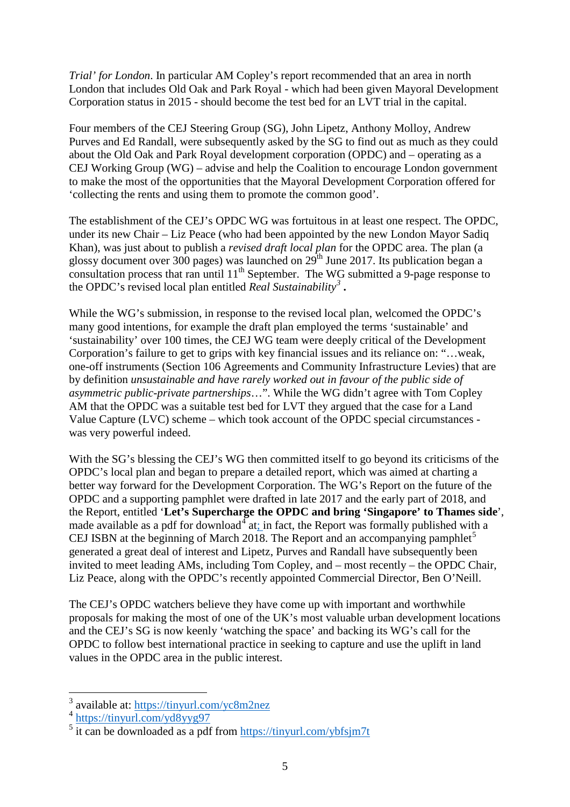*Trial' for London*. In particular AM Copley's report recommended that an area in north London that includes Old Oak and Park Royal - which had been given Mayoral Development Corporation status in 2015 - should become the test bed for an LVT trial in the capital.

Four members of the CEJ Steering Group (SG), John Lipetz, Anthony Molloy, Andrew Purves and Ed Randall, were subsequently asked by the SG to find out as much as they could about the Old Oak and Park Royal development corporation (OPDC) and – operating as a CEJ Working Group (WG) – advise and help the Coalition to encourage London government to make the most of the opportunities that the Mayoral Development Corporation offered for 'collecting the rents and using them to promote the common good'.

The establishment of the CEJ's OPDC WG was fortuitous in at least one respect. The OPDC, under its new Chair – Liz Peace (who had been appointed by the new London Mayor Sadiq Khan), was just about to publish a *revised draft local plan* for the OPDC area. The plan (a glossy document over 300 pages) was launched on 29<sup>th</sup> June 2017. Its publication began a consultation process that ran until  $11<sup>th</sup>$  September. The WG submitted a 9-page response to the OPDC's revised local plan entitled *Real Sustainability[3](#page-4-0)* **.**

While the WG's submission, in response to the revised local plan, welcomed the OPDC's many good intentions, for example the draft plan employed the terms 'sustainable' and 'sustainability' over 100 times, the CEJ WG team were deeply critical of the Development Corporation's failure to get to grips with key financial issues and its reliance on: "…weak, one-off instruments (Section 106 Agreements and Community Infrastructure Levies) that are by definition *unsustainable and have rarely worked out in favour of the public side of asymmetric public-private partnerships*…". While the WG didn't agree with Tom Copley AM that the OPDC was a suitable test bed for LVT they argued that the case for a Land Value Capture (LVC) scheme – which took account of the OPDC special circumstances was very powerful indeed.

With the SG's blessing the CEJ's WG then committed itself to go beyond its criticisms of the OPDC's local plan and began to prepare a detailed report, which was aimed at charting a better way forward for the Development Corporation. The WG's Report on the future of the OPDC and a supporting pamphlet were drafted in late 2017 and the early part of 2018, and the Report, entitled '**Let's Supercharge the OPDC and bring 'Singapore' to Thames side**', made available as a pdf for download<sup>[4](#page-4-1)</sup> at; in fact, the Report was formally published with a CEJ ISBN at the beginning of March 2018. The Report and an accompanying pamphlet<sup>[5](#page-4-2)</sup> generated a great deal of interest and Lipetz, Purves and Randall have subsequently been invited to meet leading AMs, including Tom Copley, and – most recently – the OPDC Chair, Liz Peace, along with the OPDC's recently appointed Commercial Director, Ben O'Neill.

The CEJ's OPDC watchers believe they have come up with important and worthwhile proposals for making the most of one of the UK's most valuable urban development locations and the CEJ's SG is now keenly 'watching the space' and backing its WG's call for the OPDC to follow best international practice in seeking to capture and use the uplift in land values in the OPDC area in the public interest.

 <sup>3</sup> available at: <https://tinyurl.com/yc8m2nez>

<span id="page-4-1"></span><span id="page-4-0"></span><sup>4</sup> <https://tinyurl.com/yd8yyg97>

<span id="page-4-2"></span> $\frac{1}{5}$  it can be downloaded as a pdf from <u>https://tinyurl.com/ybfsjm7t</u>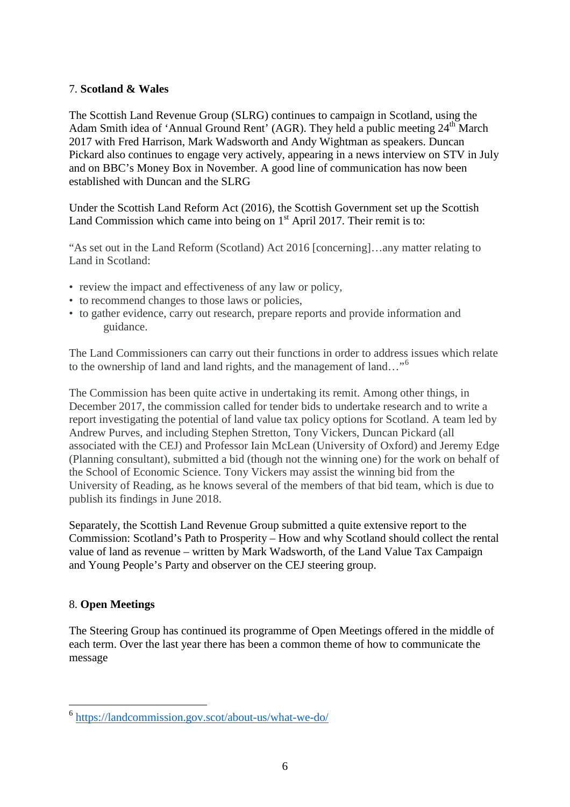#### 7. **Scotland & Wales**

The Scottish Land Revenue Group (SLRG) continues to campaign in Scotland, using the Adam Smith idea of 'Annual Ground Rent' (AGR). They held a public meeting  $24<sup>th</sup>$  March 2017 with Fred Harrison, Mark Wadsworth and Andy Wightman as speakers. Duncan Pickard also continues to engage very actively, appearing in a news interview on STV in July and on BBC's Money Box in November. A good line of communication has now been established with Duncan and the SLRG

Under the Scottish Land Reform Act (2016), the Scottish Government set up the Scottish Land Commission which came into being on  $1<sup>st</sup>$  April 2017. Their remit is to:

"As set out in the Land Reform (Scotland) Act 2016 [concerning]…any matter relating to Land in Scotland:

- review the impact and effectiveness of any law or policy,
- to recommend changes to those laws or policies,
- to gather evidence, carry out research, prepare reports and provide information and guidance.

The Land Commissioners can carry out their functions in order to address issues which relate to the ownership of land and land rights, and the management of land…"[6](#page-5-0)

The Commission has been quite active in undertaking its remit. Among other things, in December 2017, the commission called for tender bids to undertake research and to write a report investigating the potential of land value tax policy options for Scotland. A team led by Andrew Purves, and including Stephen Stretton, Tony Vickers, Duncan Pickard (all associated with the CEJ) and Professor Iain McLean (University of Oxford) and Jeremy Edge (Planning consultant), submitted a bid (though not the winning one) for the work on behalf of the School of Economic Science. Tony Vickers may assist the winning bid from the University of Reading, as he knows several of the members of that bid team, which is due to publish its findings in June 2018.

Separately, the Scottish Land Revenue Group submitted a quite extensive report to the Commission: Scotland's Path to Prosperity – How and why Scotland should collect the rental value of land as revenue – written by Mark Wadsworth, of the Land Value Tax Campaign and Young People's Party and observer on the CEJ steering group.

# 8. **Open Meetings**

The Steering Group has continued its programme of Open Meetings offered in the middle of each term. Over the last year there has been a common theme of how to communicate the message

<span id="page-5-0"></span> <sup>6</sup> <https://landcommission.gov.scot/about-us/what-we-do/>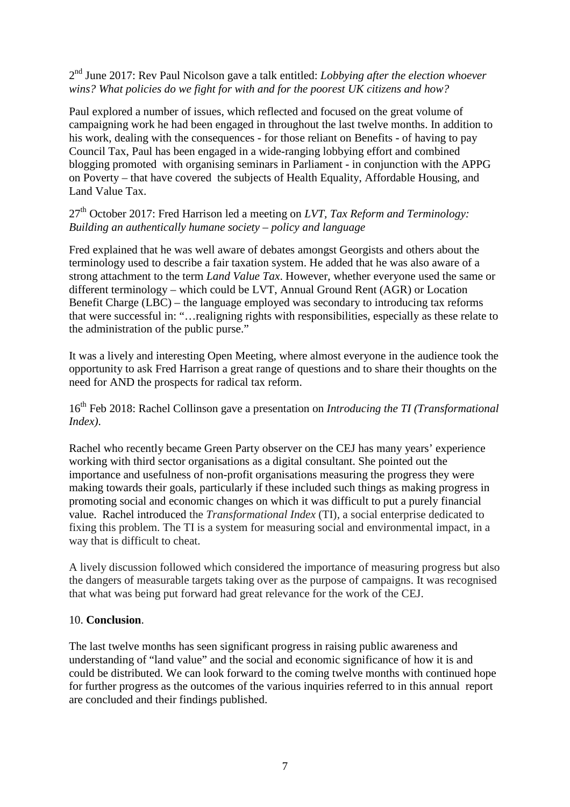2nd June 2017: Rev Paul Nicolson gave a talk entitled: *Lobbying after the election whoever wins? What policies do we fight for with and for the poorest UK citizens and how?*

Paul explored a number of issues, which reflected and focused on the great volume of campaigning work he had been engaged in throughout the last twelve months. In addition to his work, dealing with the consequences - for those reliant on Benefits - of having to pay Council Tax, Paul has been engaged in a wide-ranging lobbying effort and combined blogging promoted with organising seminars in Parliament - in conjunction with the APPG on Poverty – that have covered the subjects of Health Equality, Affordable Housing, and Land Value Tax.

27th October 2017: Fred Harrison led a meeting on *LVT, Tax Reform and Terminology: Building an authentically humane society – policy and language*

Fred explained that he was well aware of debates amongst Georgists and others about the terminology used to describe a fair taxation system. He added that he was also aware of a strong attachment to the term *Land Value Tax*. However, whether everyone used the same or different terminology – which could be LVT, Annual Ground Rent (AGR) or Location Benefit Charge (LBC) – the language employed was secondary to introducing tax reforms that were successful in: "…realigning rights with responsibilities, especially as these relate to the administration of the public purse."

It was a lively and interesting Open Meeting, where almost everyone in the audience took the opportunity to ask Fred Harrison a great range of questions and to share their thoughts on the need for AND the prospects for radical tax reform.

16th Feb 2018: Rachel Collinson gave a presentation on *Introducing the TI (Transformational Index)*.

Rachel who recently became Green Party observer on the CEJ has many years' experience working with third sector organisations as a digital consultant. She pointed out the importance and usefulness of non-profit organisations measuring the progress they were making towards their goals, particularly if these included such things as making progress in promoting social and economic changes on which it was difficult to put a purely financial value. Rachel introduced the *Transformational Index* (TI), a social enterprise dedicated to fixing this problem. The TI is a system for measuring social and environmental impact, in a way that is difficult to cheat.

A lively discussion followed which considered the importance of measuring progress but also the dangers of measurable targets taking over as the purpose of campaigns. It was recognised that what was being put forward had great relevance for the work of the CEJ.

#### 10. **Conclusion**.

The last twelve months has seen significant progress in raising public awareness and understanding of "land value" and the social and economic significance of how it is and could be distributed. We can look forward to the coming twelve months with continued hope for further progress as the outcomes of the various inquiries referred to in this annual report are concluded and their findings published.